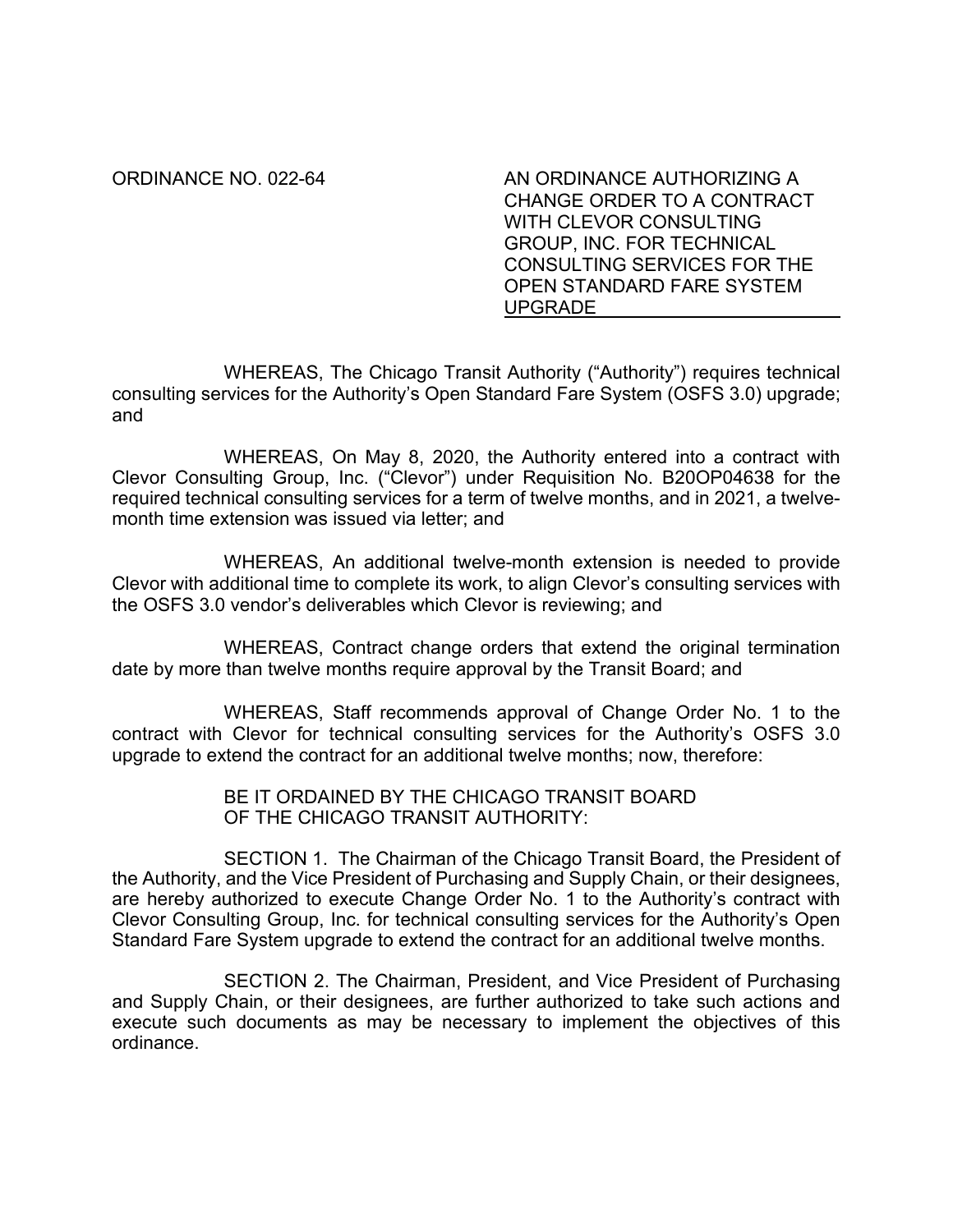ORDINANCE NO. 022-64 AN ORDINANCE AUTHORIZING A CHANGE ORDER TO A CONTRACT WITH CLEVOR CONSULTING GROUP, INC. FOR TECHNICAL CONSULTING SERVICES FOR THE OPEN STANDARD FARE SYSTEM UPGRADE

WHEREAS, The Chicago Transit Authority ("Authority") requires technical consulting services for the Authority's Open Standard Fare System (OSFS 3.0) upgrade; and

WHEREAS, On May 8, 2020, the Authority entered into a contract with Clevor Consulting Group, Inc. ("Clevor") under Requisition No. B20OP04638 for the required technical consulting services for a term of twelve months, and in 2021, a twelvemonth time extension was issued via letter; and

WHEREAS, An additional twelve-month extension is needed to provide Clevor with additional time to complete its work, to align Clevor's consulting services with the OSFS 3.0 vendor's deliverables which Clevor is reviewing; and

WHEREAS, Contract change orders that extend the original termination date by more than twelve months require approval by the Transit Board; and

WHEREAS, Staff recommends approval of Change Order No. 1 to the contract with Clevor for technical consulting services for the Authority's OSFS 3.0 upgrade to extend the contract for an additional twelve months; now, therefore:

> BE IT ORDAINED BY THE CHICAGO TRANSIT BOARD OF THE CHICAGO TRANSIT AUTHORITY:

SECTION 1. The Chairman of the Chicago Transit Board, the President of the Authority, and the Vice President of Purchasing and Supply Chain, or their designees, are hereby authorized to execute Change Order No. 1 to the Authority's contract with Clevor Consulting Group, Inc. for technical consulting services for the Authority's Open Standard Fare System upgrade to extend the contract for an additional twelve months.

SECTION 2. The Chairman, President, and Vice President of Purchasing and Supply Chain, or their designees, are further authorized to take such actions and execute such documents as may be necessary to implement the objectives of this ordinance.